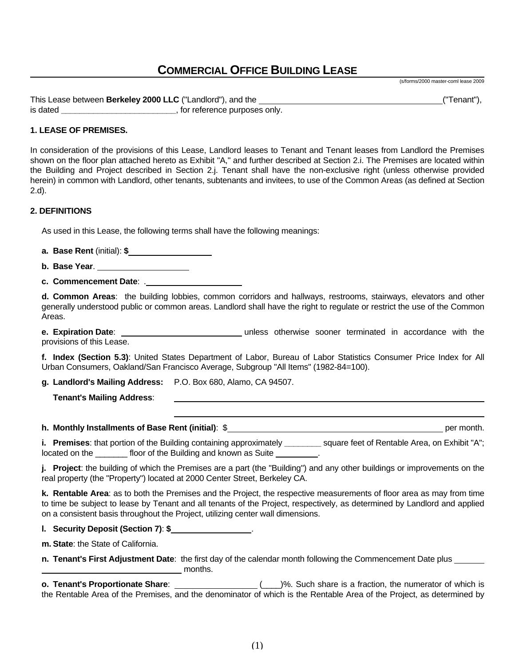# **COMMERCIAL OFFICE BUILDING LEASE**

This Lease between **Berkeley 2000 LLC** ("Landlord"), and the **Commission Construction and the Construction** ("Tenant"), is dated **and the contract of the contract of the contract of the contract of the contract of the contract of the contract of the contract of the contract of the contract of the contract of the contract of the contract of** 

# **1. LEASE OF PREMISES.**

In consideration of the provisions of this Lease, Landlord leases to Tenant and Tenant leases from Landlord the Premises shown on the floor plan attached hereto as Exhibit "A," and further described at Section 2.i. The Premises are located within the Building and Project described in Section 2.j. Tenant shall have the non-exclusive right (unless otherwise provided herein) in common with Landlord, other tenants, subtenants and invitees, to use of the Common Areas (as defined at Section 2.d).

#### **2. DEFINITIONS**

As used in this Lease, the following terms shall have the following meanings:

**a. Base Rent** (initial): **\$** 

**b. Base Year**.

**c. Commencement Date**: .

**d. Common Areas**: the building lobbies, common corridors and hallways, restrooms, stairways, elevators and other generally understood public or common areas. Landlord shall have the right to regulate or restrict the use of the Common Areas.

**e. Expiration Date**: unless otherwise sooner terminated in accordance with the provisions of this Lease.

**f. Index (Section 5.3)**: United States Department of Labor, Bureau of Labor Statistics Consumer Price Index for All Urban Consumers, Oakland/San Francisco Average, Subgroup "All Items" (1982-84=100).

**g. Landlord's Mailing Address:** P.O. Box 680, Alamo, CA 94507.

 **Tenant's Mailing Address**:

**h. Monthly Installments of Base Rent (initial)**: \$

(s/forms/2000 master-coml lease 2009

**i. Premises**: that portion of the Building containing approximately **\_\_\_\_\_\_\_\_** square feet of Rentable Area, on Exhibit "A"; located on the \_\_\_\_\_\_\_\_ floor of the Building and known as Suite \_\_\_\_\_\_

**j. Project**: the building of which the Premises are a part (the "Building") and any other buildings or improvements on the real property (the "Property") located at 2000 Center Street, Berkeley CA.

**k. Rentable Area**: as to both the Premises and the Project, the respective measurements of floor area as may from time to time be subject to lease by Tenant and all tenants of the Project, respectively, as determined by Landlord and applied on a consistent basis throughout the Project, utilizing center wall dimensions.

**l. Security Deposit (Section 7)**: **\$** .

**m. State**: the State of California.

**n. Tenant's First Adjustment Date**: the first day of the calendar month following the Commencement Date plus months.

**o. Tenant's Proportionate Share**: \_\_\_\_\_\_\_\_\_\_\_\_\_\_\_\_\_\_\_\_\_(\_\_\_)%. Such share is a fraction, the numerator of which is the Rentable Area of the Premises, and the denominator of which is the Rentable Area of the Project, as determined by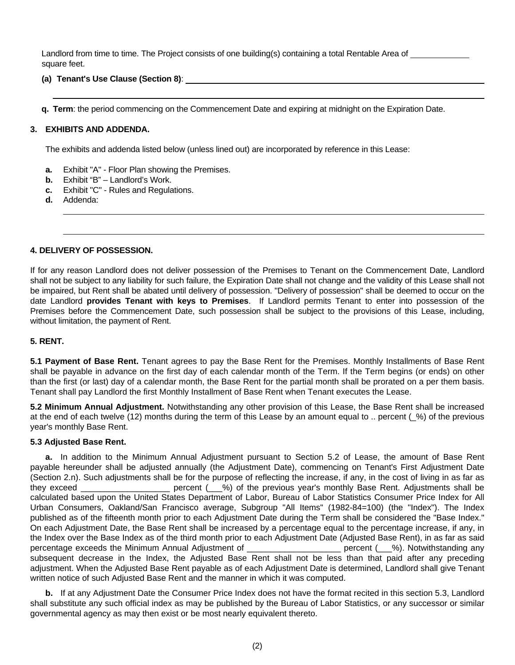Landlord from time to time. The Project consists of one building(s) containing a total Rentable Area of square feet.

**(a) Tenant's Use Clause (Section 8)**:

**q. Term**: the period commencing on the Commencement Date and expiring at midnight on the Expiration Date.

## **3. EXHIBITS AND ADDENDA.**

The exhibits and addenda listed below (unless lined out) are incorporated by reference in this Lease:

- **a.** Exhibit "A" Floor Plan showing the Premises.
- **b.** Exhibit "B" Landlord's Work.
- **c.** Exhibit "C" Rules and Regulations.
- **d.** Addenda:

#### **4. DELIVERY OF POSSESSION.**

If for any reason Landlord does not deliver possession of the Premises to Tenant on the Commencement Date, Landlord shall not be subject to any liability for such failure, the Expiration Date shall not change and the validity of this Lease shall not be impaired, but Rent shall be abated until delivery of possession. "Delivery of possession" shall be deemed to occur on the date Landlord **provides Tenant with keys to Premises**. If Landlord permits Tenant to enter into possession of the Premises before the Commencement Date, such possession shall be subject to the provisions of this Lease, including, without limitation, the payment of Rent.

#### **5. RENT.**

**5.1 Payment of Base Rent.** Tenant agrees to pay the Base Rent for the Premises. Monthly Installments of Base Rent shall be payable in advance on the first day of each calendar month of the Term. If the Term begins (or ends) on other than the first (or last) day of a calendar month, the Base Rent for the partial month shall be prorated on a per them basis. Tenant shall pay Landlord the first Monthly Installment of Base Rent when Tenant executes the Lease.

**5.2 Minimum Annual Adjustment.** Notwithstanding any other provision of this Lease, the Base Rent shall be increased at the end of each twelve (12) months during the term of this Lease by an amount equal to .. percent (\_%) of the previous year's monthly Base Rent.

#### **5.3 Adjusted Base Rent.**

**a.** In addition to the Minimum Annual Adjustment pursuant to Section 5.2 of Lease, the amount of Base Rent payable hereunder shall be adjusted annually (the Adjustment Date), commencing on Tenant's First Adjustment Date (Section 2.n). Such adjustments shall be for the purpose of reflecting the increase, if any, in the cost of living in as far as they exceed \_\_\_\_\_\_\_\_\_\_\_\_\_\_\_\_\_\_\_ percent (\_\_\_%) of the previous year's monthly Base Rent. Adjustments shall be calculated based upon the United States Department of Labor, Bureau of Labor Statistics Consumer Price Index for All Urban Consumers, Oakland/San Francisco average, Subgroup "All Items" (1982-84=100) (the "Index"). The Index published as of the fifteenth month prior to each Adjustment Date during the Term shall be considered the "Base Index." On each Adjustment Date, the Base Rent shall be increased by a percentage equal to the percentage increase, if any, in the Index over the Base Index as of the third month prior to each Adjustment Date (Adjusted Base Rent), in as far as said percentage exceeds the Minimum Annual Adjustment of \_\_\_\_\_\_\_\_\_\_\_\_\_\_\_\_\_\_\_\_\_\_\_\_ percent (\_\_\_%). Notwithstanding any subsequent decrease in the Index, the Adjusted Base Rent shall not be less than that paid after any preceding adjustment. When the Adjusted Base Rent payable as of each Adjustment Date is determined, Landlord shall give Tenant written notice of such Adjusted Base Rent and the manner in which it was computed.

**b.** If at any Adjustment Date the Consumer Price Index does not have the format recited in this section 5.3, Landlord shall substitute any such official index as may be published by the Bureau of Labor Statistics, or any successor or similar governmental agency as may then exist or be most nearly equivalent thereto.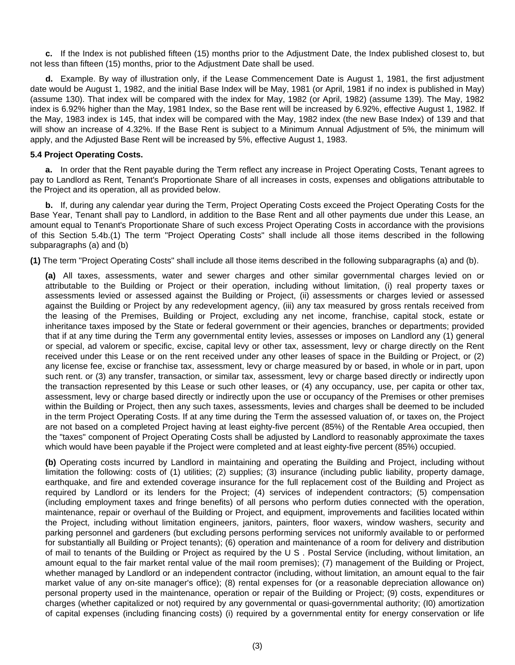**c.** If the Index is not published fifteen (15) months prior to the Adjustment Date, the Index published closest to, but not less than fifteen (15) months, prior to the Adjustment Date shall be used.

**d.** Example. By way of illustration only, if the Lease Commencement Date is August 1, 1981, the first adjustment date would be August 1, 1982, and the initial Base Index will be May, 1981 (or April, 1981 if no index is published in May) (assume 130). That index will be compared with the index for May, 1982 (or April, 1982) (assume 139). The May, 1982 index is 6.92% higher than the May, 1981 Index, so the Base rent will be increased by 6.92%, effective August 1, 1982. If the May, 1983 index is 145, that index will be compared with the May, 1982 index (the new Base Index) of 139 and that will show an increase of 4.32%. If the Base Rent is subject to a Minimum Annual Adjustment of 5%, the minimum will apply, and the Adjusted Base Rent will be increased by 5%, effective August 1, 1983.

## **5.4 Project Operating Costs.**

**a.** In order that the Rent payable during the Term reflect any increase in Project Operating Costs, Tenant agrees to pay to Landlord as Rent, Tenant's Proportionate Share of all increases in costs, expenses and obligations attributable to the Project and its operation, all as provided below.

**b.** If, during any calendar year during the Term, Project Operating Costs exceed the Project Operating Costs for the Base Year, Tenant shall pay to Landlord, in addition to the Base Rent and all other payments due under this Lease, an amount equal to Tenant's Proportionate Share of such excess Project Operating Costs in accordance with the provisions of this Section 5.4b.(1) The term "Project Operating Costs" shall include all those items described in the following subparagraphs (a) and (b)

**(1)** The term "Project Operating Costs" shall include all those items described in the following subparagraphs (a) and (b).

**(a)** All taxes, assessments, water and sewer charges and other similar governmental charges levied on or attributable to the Building or Project or their operation, including without limitation, (i) real property taxes or assessments levied or assessed against the Building or Project, (ii) assessments or charges levied or assessed against the Building or Project by any redevelopment agency, (iii) any tax measured by gross rentals received from the leasing of the Premises, Building or Project, excluding any net income, franchise, capital stock, estate or inheritance taxes imposed by the State or federal government or their agencies, branches or departments; provided that if at any time during the Term any governmental entity levies, assesses or imposes on Landlord any (1) general or special, ad valorem or specific, excise, capital levy or other tax, assessment, levy or charge directly on the Rent received under this Lease or on the rent received under any other leases of space in the Building or Project, or (2) any license fee, excise or franchise tax, assessment, levy or charge measured by or based, in whole or in part, upon such rent. or (3) any transfer, transaction, or similar tax, assessment, levy or charge based directly or indirectly upon the transaction represented by this Lease or such other leases, or (4) any occupancy, use, per capita or other tax, assessment, levy or charge based directly or indirectly upon the use or occupancy of the Premises or other premises within the Building or Project, then any such taxes, assessments, levies and charges shall be deemed to be included in the term Project Operating Costs. If at any time during the Term the assessed valuation of, or taxes on, the Project are not based on a completed Project having at least eighty-five percent (85%) of the Rentable Area occupied, then the "taxes" component of Project Operating Costs shall be adjusted by Landlord to reasonably approximate the taxes which would have been payable if the Project were completed and at least eighty-five percent (85%) occupied.

**(b)** Operating costs incurred by Landlord in maintaining and operating the Building and Project, including without limitation the following: costs of (1) utilities; (2) supplies; (3) insurance (including public liability, property damage, earthquake, and fire and extended coverage insurance for the full replacement cost of the Building and Project as required by Landlord or its lenders for the Project; (4) services of independent contractors; (5) compensation (including employment taxes and fringe benefits) of all persons who perform duties connected with the operation, maintenance, repair or overhaul of the Building or Project, and equipment, improvements and facilities located within the Project, including without limitation engineers, janitors, painters, floor waxers, window washers, security and parking personnel and gardeners (but excluding persons performing services not uniformly available to or performed for substantially all Building or Project tenants); (6) operation and maintenance of a room for delivery and distribution of mail to tenants of the Building or Project as required by the U S . Postal Service (including, without limitation, an amount equal to the fair market rental value of the mail room premises); (7) management of the Building or Project, whether managed by Landlord or an independent contractor (including, without limitation, an amount equal to the fair market value of any on-site manager's office); (8) rental expenses for (or a reasonable depreciation allowance on) personal property used in the maintenance, operation or repair of the Building or Project; (9) costs, expenditures or charges (whether capitalized or not) required by any governmental or quasi-governmental authority; (I0) amortization of capital expenses (including financing costs) (i) required by a governmental entity for energy conservation or life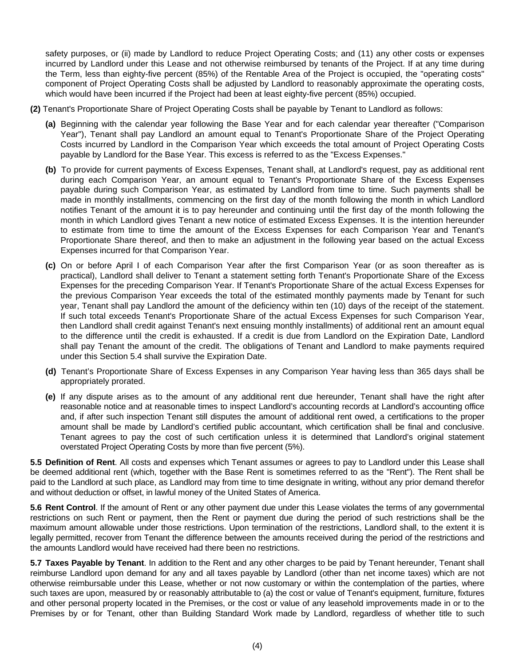safety purposes, or (ii) made by Landlord to reduce Project Operating Costs; and (11) any other costs or expenses incurred by Landlord under this Lease and not otherwise reimbursed by tenants of the Project. If at any time during the Term, less than eighty-five percent (85%) of the Rentable Area of the Project is occupied, the "operating costs" component of Project Operating Costs shall be adjusted by Landlord to reasonably approximate the operating costs, which would have been incurred if the Project had been at least eighty-five percent (85%) occupied.

- **(2)** Tenant's Proportionate Share of Project Operating Costs shall be payable by Tenant to Landlord as follows:
	- **(a)** Beginning with the calendar year following the Base Year and for each calendar year thereafter ("Comparison Year"), Tenant shall pay Landlord an amount equal to Tenant's Proportionate Share of the Project Operating Costs incurred by Landlord in the Comparison Year which exceeds the total amount of Project Operating Costs payable by Landlord for the Base Year. This excess is referred to as the "Excess Expenses."
	- **(b)** To provide for current payments of Excess Expenses, Tenant shall, at Landlord's request, pay as additional rent during each Comparison Year, an amount equal to Tenant's Proportionate Share of the Excess Expenses payable during such Comparison Year, as estimated by Landlord from time to time. Such payments shall be made in monthly installments, commencing on the first day of the month following the month in which Landlord notifies Tenant of the amount it is to pay hereunder and continuing until the first day of the month following the month in which Landlord gives Tenant a new notice of estimated Excess Expenses. It is the intention hereunder to estimate from time to time the amount of the Excess Expenses for each Comparison Year and Tenant's Proportionate Share thereof, and then to make an adjustment in the following year based on the actual Excess Expenses incurred for that Comparison Year.
	- **(c)** On or before April I of each Comparison Year after the first Comparison Year (or as soon thereafter as is practical), Landlord shall deliver to Tenant a statement setting forth Tenant's Proportionate Share of the Excess Expenses for the preceding Comparison Year. If Tenant's Proportionate Share of the actual Excess Expenses for the previous Comparison Year exceeds the total of the estimated monthly payments made by Tenant for such year, Tenant shall pay Landlord the amount of the deficiency within ten (10) days of the receipt of the statement. If such total exceeds Tenant's Proportionate Share of the actual Excess Expenses for such Comparison Year, then Landlord shall credit against Tenant's next ensuing monthly installments) of additional rent an amount equal to the difference until the credit is exhausted. If a credit is due from Landlord on the Expiration Date, Landlord shall pay Tenant the amount of the credit. The obligations of Tenant and Landlord to make payments required under this Section 5.4 shall survive the Expiration Date.
	- **(d)** Tenant's Proportionate Share of Excess Expenses in any Comparison Year having less than 365 days shall be appropriately prorated.
	- **(e)** If any dispute arises as to the amount of any additional rent due hereunder, Tenant shall have the right after reasonable notice and at reasonable times to inspect Landlord's accounting records at Landlord's accounting office and, if after such inspection Tenant still disputes the amount of additional rent owed, a certifications to the proper amount shall be made by Landlord's certified public accountant, which certification shall be final and conclusive. Tenant agrees to pay the cost of such certification unless it is determined that Landlord's original statement overstated Project Operating Costs by more than five percent (5%).

**5.5 Definition of Rent**. All costs and expenses which Tenant assumes or agrees to pay to Landlord under this Lease shall be deemed additional rent (which, together with the Base Rent is sometimes referred to as the "Rent"). The Rent shall be paid to the Landlord at such place, as Landlord may from time to time designate in writing, without any prior demand therefor and without deduction or offset, in lawful money of the United States of America.

**5.6 Rent Control**. If the amount of Rent or any other payment due under this Lease violates the terms of any governmental restrictions on such Rent or payment, then the Rent or payment due during the period of such restrictions shall be the maximum amount allowable under those restrictions. Upon termination of the restrictions, Landlord shall, to the extent it is legally permitted, recover from Tenant the difference between the amounts received during the period of the restrictions and the amounts Landlord would have received had there been no restrictions.

**5.7 Taxes Payable by Tenant**. In addition to the Rent and any other charges to be paid by Tenant hereunder, Tenant shall reimburse Landlord upon demand for any and all taxes payable by Landlord (other than net income taxes) which are not otherwise reimbursable under this Lease, whether or not now customary or within the contemplation of the parties, where such taxes are upon, measured by or reasonably attributable to (a) the cost or value of Tenant's equipment, furniture, fixtures and other personal property located in the Premises, or the cost or value of any leasehold improvements made in or to the Premises by or for Tenant, other than Building Standard Work made by Landlord, regardless of whether title to such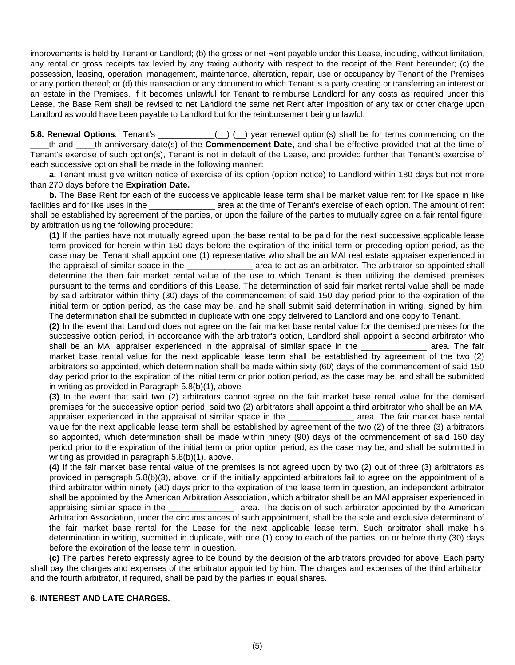improvements is held by Tenant or Landlord; (b) the gross or net Rent payable under this Lease, including, without limitation, any rental or gross receipts tax levied by any taxing authority with respect to the receipt of the Rent hereunder; (c) the possession, leasing, operation, management, maintenance, alteration, repair, use or occupancy by Tenant of the Premises or any portion thereof; or (d) this transaction or any document to which Tenant is a party creating or transferring an interest or an estate in the Premises. If it becomes unlawful for Tenant to reimburse Landlord for any costs as required under this Lease, the Base Rent shall be revised to net Landlord the same net Rent after imposition of any tax or other charge upon Landlord as would have been payable to Landlord but for the reimbursement being unlawful.

**5.8. Renewal Options**. Tenant's \_\_\_\_\_\_\_\_\_\_\_\_(\_\_) (\_\_) year renewal option(s) shall be for terms commencing on the \_\_\_\_th and \_\_\_\_th anniversary date(s) of the **Commencement Date,** and shall be effective provided that at the time of Tenant's exercise of such option(s), Tenant is not in default of the Lease, and provided further that Tenant's exercise of each successive option shall be made in the following manner:

 **a.** Tenant must give written notice of exercise of its option (option notice) to Landlord within 180 days but not more than 270 days before the **Expiration Date.** 

 **b.** The Base Rent for each of the successive applicable lease term shall be market value rent for like space in like facilities and for like uses in the the second varea at the time of Tenant's exercise of each option. The amount of rent shall be established by agreement of the parties, or upon the failure of the parties to mutually agree on a fair rental figure, by arbitration using the following procedure:

**(1)** If the parties have not mutually agreed upon the base rental to be paid for the next successive applicable lease term provided for herein within 150 days before the expiration of the initial term or preceding option period, as the case may be, Tenant shall appoint one (1) representative who shall be an MAI real estate appraiser experienced in the appraisal of similar space in the  $\qquad \qquad$  area to act as an arbitrator. The arbitrator so appointed shall determine the then fair market rental value of the use to which Tenant is then utilizing the demised premises pursuant to the terms and conditions of this Lease. The determination of said fair market rental value shall be made by said arbitrator within thirty (30) days of the commencement of said 150 day period prior to the expiration of the initial term or option period, as the case may be, and he shall submit said determination in writing, signed by him. The determination shall be submitted in duplicate with one copy delivered to Landlord and one copy to Tenant.

**(2)** In the event that Landlord does not agree on the fair market base rental value for the demised premises for the successive option period, in accordance with the arbitrator's option, Landlord shall appoint a second arbitrator who shall be an MAI appraiser experienced in the appraisal of similar space in the **will allocate and a**rea. The fair market base rental value for the next applicable lease term shall be established by agreement of the two (2) arbitrators so appointed, which determination shall be made within sixty (60) days of the commencement of said 150 day period prior to the expiration of the initial term or prior option period, as the case may be, and shall be submitted in writing as provided in Paragraph 5.8(b)(1), above

**(3)** In the event that said two (2) arbitrators cannot agree on the fair market base rental value for the demised premises for the successive option period, said two (2) arbitrators shall appoint a third arbitrator who shall be an MAI appraiser experienced in the appraisal of similar space in the \_\_\_\_\_\_\_\_\_\_\_\_\_\_ area. The fair market base rental value for the next applicable lease term shall be established by agreement of the two (2) of the three (3) arbitrators so appointed, which determination shall be made within ninety (90) days of the commencement of said 150 day period prior to the expiration of the initial term or prior option period, as the case may be, and shall be submitted in writing as provided in paragraph 5.8(b)(1), above.

**(4)** If the fair market base rental value of the premises is not agreed upon by two (2) out of three (3) arbitrators as provided in paragraph 5.8(b)(3), above, or if the initially appointed arbitrators fail to agree on the appointment of a third arbitrator within ninety (90) days prior to the expiration of the lease term in question, an independent arbitrator shall be appointed by the American Arbitration Association, which arbitrator shall be an MAI appraiser experienced in appraising similar space in the \_\_\_\_\_\_\_\_\_\_\_\_\_\_\_\_\_ area. The decision of such arbitrator appointed by the American Arbitration Association, under the circumstances of such appointment, shall be the sole and exclusive determinant of the fair market base rental for the Lease for the next applicable lease term. Such arbitrator shall make his determination in writing, submitted in duplicate, with one (1) copy to each of the parties, on or before thirty (30) days before the expiration of the lease term in question.

 **(c)** The parties hereto expressly agree to be bound by the decision of the arbitrators provided for above. Each party shall pay the charges and expenses of the arbitrator appointed by him. The charges and expenses of the third arbitrator, and the fourth arbitrator, if required, shall be paid by the parties in equal shares.

# **6. INTEREST AND LATE CHARGES.**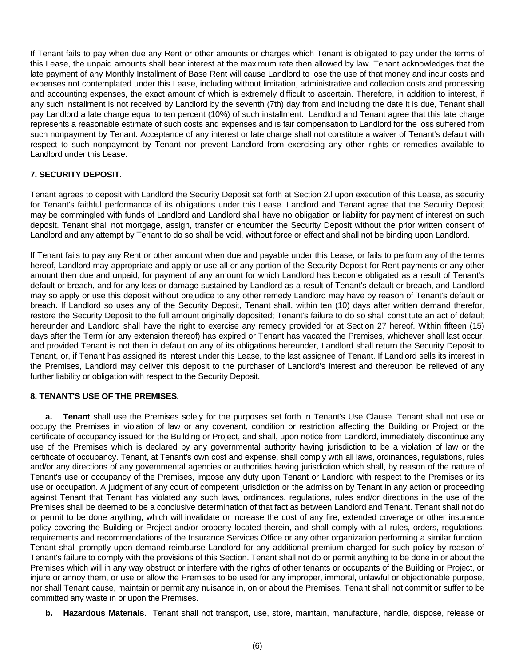If Tenant fails to pay when due any Rent or other amounts or charges which Tenant is obligated to pay under the terms of this Lease, the unpaid amounts shall bear interest at the maximum rate then allowed by law. Tenant acknowledges that the late payment of any Monthly Installment of Base Rent will cause Landlord to lose the use of that money and incur costs and expenses not contemplated under this Lease, including without limitation, administrative and collection costs and processing and accounting expenses, the exact amount of which is extremely difficult to ascertain. Therefore, in addition to interest, if any such installment is not received by Landlord by the seventh (7th) day from and including the date it is due, Tenant shall pay Landlord a late charge equal to ten percent (10%) of such installment. Landlord and Tenant agree that this late charge represents a reasonable estimate of such costs and expenses and is fair compensation to Landlord for the loss suffered from such nonpayment by Tenant. Acceptance of any interest or late charge shall not constitute a waiver of Tenant's default with respect to such nonpayment by Tenant nor prevent Landlord from exercising any other rights or remedies available to Landlord under this Lease.

# **7. SECURITY DEPOSIT.**

Tenant agrees to deposit with Landlord the Security Deposit set forth at Section 2.l upon execution of this Lease, as security for Tenant's faithful performance of its obligations under this Lease. Landlord and Tenant agree that the Security Deposit may be commingled with funds of Landlord and Landlord shall have no obligation or liability for payment of interest on such deposit. Tenant shall not mortgage, assign, transfer or encumber the Security Deposit without the prior written consent of Landlord and any attempt by Tenant to do so shall be void, without force or effect and shall not be binding upon Landlord.

If Tenant fails to pay any Rent or other amount when due and payable under this Lease, or fails to perform any of the terms hereof, Landlord may appropriate and apply or use all or any portion of the Security Deposit for Rent payments or any other amount then due and unpaid, for payment of any amount for which Landlord has become obligated as a result of Tenant's default or breach, and for any loss or damage sustained by Landlord as a result of Tenant's default or breach, and Landlord may so apply or use this deposit without prejudice to any other remedy Landlord may have by reason of Tenant's default or breach. If Landlord so uses any of the Security Deposit, Tenant shall, within ten (10) days after written demand therefor, restore the Security Deposit to the full amount originally deposited; Tenant's failure to do so shall constitute an act of default hereunder and Landlord shall have the right to exercise any remedy provided for at Section 27 hereof. Within fifteen (15) days after the Term (or any extension thereof) has expired or Tenant has vacated the Premises, whichever shall last occur, and provided Tenant is not then in default on any of its obligations hereunder, Landlord shall return the Security Deposit to Tenant, or, if Tenant has assigned its interest under this Lease, to the last assignee of Tenant. If Landlord sells its interest in the Premises, Landlord may deliver this deposit to the purchaser of Landlord's interest and thereupon be relieved of any further liability or obligation with respect to the Security Deposit.

# **8. TENANT'S USE OF THE PREMISES.**

 **a. Tenant** shall use the Premises solely for the purposes set forth in Tenant's Use Clause. Tenant shall not use or occupy the Premises in violation of law or any covenant, condition or restriction affecting the Building or Project or the certificate of occupancy issued for the Building or Project, and shall, upon notice from Landlord, immediately discontinue any use of the Premises which is declared by any governmental authority having jurisdiction to be a violation of law or the certificate of occupancy. Tenant, at Tenant's own cost and expense, shall comply with all laws, ordinances, regulations, rules and/or any directions of any governmental agencies or authorities having jurisdiction which shall, by reason of the nature of Tenant's use or occupancy of the Premises, impose any duty upon Tenant or Landlord with respect to the Premises or its use or occupation. A judgment of any court of competent jurisdiction or the admission by Tenant in any action or proceeding against Tenant that Tenant has violated any such laws, ordinances, regulations, rules and/or directions in the use of the Premises shall be deemed to be a conclusive determination of that fact as between Landlord and Tenant. Tenant shall not do or permit to be done anything, which will invalidate or increase the cost of any fire, extended coverage or other insurance policy covering the Building or Project and/or property located therein, and shall comply with all rules, orders, regulations, requirements and recommendations of the Insurance Services Office or any other organization performing a similar function. Tenant shall promptly upon demand reimburse Landlord for any additional premium charged for such policy by reason of Tenant's failure to comply with the provisions of this Section. Tenant shall not do or permit anything to be done in or about the Premises which will in any way obstruct or interfere with the rights of other tenants or occupants of the Building or Project, or injure or annoy them, or use or allow the Premises to be used for any improper, immoral, unlawful or objectionable purpose, nor shall Tenant cause, maintain or permit any nuisance in, on or about the Premises. Tenant shall not commit or suffer to be committed any waste in or upon the Premises.

 **b. Hazardous Materials**. Tenant shall not transport, use, store, maintain, manufacture, handle, dispose, release or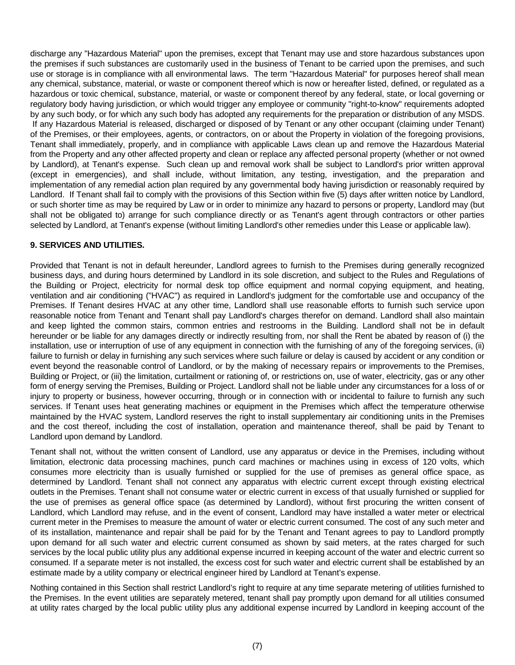discharge any "Hazardous Material" upon the premises, except that Tenant may use and store hazardous substances upon the premises if such substances are customarily used in the business of Tenant to be carried upon the premises, and such use or storage is in compliance with all environmental laws. The term "Hazardous Material" for purposes hereof shall mean any chemical, substance, material, or waste or component thereof which is now or hereafter listed, defined, or regulated as a hazardous or toxic chemical, substance, material, or waste or component thereof by any federal, state, or local governing or regulatory body having jurisdiction, or which would trigger any employee or community "right-to-know" requirements adopted by any such body, or for which any such body has adopted any requirements for the preparation or distribution of any MSDS. If any Hazardous Material is released, discharged or disposed of by Tenant or any other occupant (claiming under Tenant) of the Premises, or their employees, agents, or contractors, on or about the Property in violation of the foregoing provisions, Tenant shall immediately, properly, and in compliance with applicable Laws clean up and remove the Hazardous Material from the Property and any other affected property and clean or replace any affected personal property (whether or not owned by Landlord), at Tenant's expense. Such clean up and removal work shall be subject to Landlord's prior written approval (except in emergencies), and shall include, without limitation, any testing, investigation, and the preparation and implementation of any remedial action plan required by any governmental body having jurisdiction or reasonably required by Landlord. If Tenant shall fail to comply with the provisions of this Section within five (5) days after written notice by Landlord, or such shorter time as may be required by Law or in order to minimize any hazard to persons or property, Landlord may (but shall not be obligated to) arrange for such compliance directly or as Tenant's agent through contractors or other parties selected by Landlord, at Tenant's expense (without limiting Landlord's other remedies under this Lease or applicable law).

# **9. SERVICES AND UTILITIES.**

Provided that Tenant is not in default hereunder, Landlord agrees to furnish to the Premises during generally recognized business days, and during hours determined by Landlord in its sole discretion, and subject to the Rules and Regulations of the Building or Project, electricity for normal desk top office equipment and normal copying equipment, and heating, ventilation and air conditioning ("HVAC") as required in Landlord's judgment for the comfortable use and occupancy of the Premises. If Tenant desires HVAC at any other time, Landlord shall use reasonable efforts to furnish such service upon reasonable notice from Tenant and Tenant shall pay Landlord's charges therefor on demand. Landlord shall also maintain and keep lighted the common stairs, common entries and restrooms in the Building. Landlord shall not be in default hereunder or be liable for any damages directly or indirectly resulting from, nor shall the Rent be abated by reason of (i) the installation, use or interruption of use of any equipment in connection with the furnishing of any of the foregoing services, (ii) failure to furnish or delay in furnishing any such services where such failure or delay is caused by accident or any condition or event beyond the reasonable control of Landlord, or by the making of necessary repairs or improvements to the Premises, Building or Project, or (iii) the limitation, curtailment or rationing of, or restrictions on, use of water, electricity, gas or any other form of energy serving the Premises, Building or Project. Landlord shall not be liable under any circumstances for a loss of or injury to property or business, however occurring, through or in connection with or incidental to failure to furnish any such services. If Tenant uses heat generating machines or equipment in the Premises which affect the temperature otherwise maintained by the HVAC system, Landlord reserves the right to install supplementary air conditioning units in the Premises and the cost thereof, including the cost of installation, operation and maintenance thereof, shall be paid by Tenant to Landlord upon demand by Landlord.

Tenant shall not, without the written consent of Landlord, use any apparatus or device in the Premises, including without limitation, electronic data processing machines, punch card machines or machines using in excess of 120 volts, which consumes more electricity than is usually furnished or supplied for the use of premises as general office space, as determined by Landlord. Tenant shall not connect any apparatus with electric current except through existing electrical outlets in the Premises. Tenant shall not consume water or electric current in excess of that usually furnished or supplied for the use of premises as general office space (as determined by Landlord), without first procuring the written consent of Landlord, which Landlord may refuse, and in the event of consent, Landlord may have installed a water meter or electrical current meter in the Premises to measure the amount of water or electric current consumed. The cost of any such meter and of its installation, maintenance and repair shall be paid for by the Tenant and Tenant agrees to pay to Landlord promptly upon demand for all such water and electric current consumed as shown by said meters, at the rates charged for such services by the local public utility plus any additional expense incurred in keeping account of the water and electric current so consumed. If a separate meter is not installed, the excess cost for such water and electric current shall be established by an estimate made by a utility company or electrical engineer hired by Landlord at Tenant's expense.

Nothing contained in this Section shall restrict Landlord's right to require at any time separate metering of utilities furnished to the Premises. In the event utilities are separately metered, tenant shall pay promptly upon demand for all utilities consumed at utility rates charged by the local public utility plus any additional expense incurred by Landlord in keeping account of the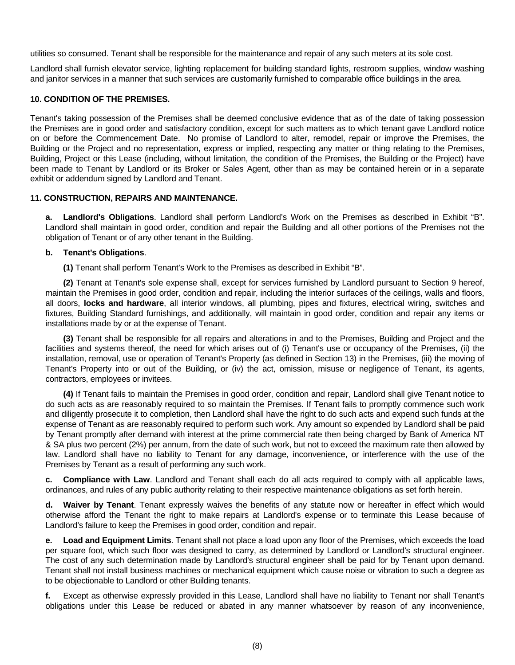utilities so consumed. Tenant shall be responsible for the maintenance and repair of any such meters at its sole cost.

Landlord shall furnish elevator service, lighting replacement for building standard lights, restroom supplies, window washing and janitor services in a manner that such services are customarily furnished to comparable office buildings in the area.

## **10. CONDITION OF THE PREMISES.**

Tenant's taking possession of the Premises shall be deemed conclusive evidence that as of the date of taking possession the Premises are in good order and satisfactory condition, except for such matters as to which tenant gave Landlord notice on or before the Commencement Date. No promise of Landlord to alter, remodel, repair or improve the Premises, the Building or the Project and no representation, express or implied, respecting any matter or thing relating to the Premises, Building, Project or this Lease (including, without limitation, the condition of the Premises, the Building or the Project) have been made to Tenant by Landlord or its Broker or Sales Agent, other than as may be contained herein or in a separate exhibit or addendum signed by Landlord and Tenant.

#### **11. CONSTRUCTION, REPAIRS AND MAINTENANCE.**

 **a. Landlord's Obligations**. Landlord shall perform Landlord's Work on the Premises as described in Exhibit "B". Landlord shall maintain in good order, condition and repair the Building and all other portions of the Premises not the obligation of Tenant or of any other tenant in the Building.

#### **b. Tenant's Obligations**.

 **(1)** Tenant shall perform Tenant's Work to the Premises as described in Exhibit "B".

 **(2)** Tenant at Tenant's sole expense shall, except for services furnished by Landlord pursuant to Section 9 hereof, maintain the Premises in good order, condition and repair, including the interior surfaces of the ceilings, walls and floors, all doors, **locks and hardware**, all interior windows, all plumbing, pipes and fixtures, electrical wiring, switches and fixtures, Building Standard furnishings, and additionally, will maintain in good order, condition and repair any items or installations made by or at the expense of Tenant.

 **(3)** Tenant shall be responsible for all repairs and alterations in and to the Premises, Building and Project and the facilities and systems thereof, the need for which arises out of (i) Tenant's use or occupancy of the Premises, (ii) the installation, removal, use or operation of Tenant's Property (as defined in Section 13) in the Premises, (iii) the moving of Tenant's Property into or out of the Building, or (iv) the act, omission, misuse or negligence of Tenant, its agents, contractors, employees or invitees.

 **(4)** If Tenant fails to maintain the Premises in good order, condition and repair, Landlord shall give Tenant notice to do such acts as are reasonably required to so maintain the Premises. If Tenant fails to promptly commence such work and diligently prosecute it to completion, then Landlord shall have the right to do such acts and expend such funds at the expense of Tenant as are reasonably required to perform such work. Any amount so expended by Landlord shall be paid by Tenant promptly after demand with interest at the prime commercial rate then being charged by Bank of America NT & SA plus two percent (2%) per annum, from the date of such work, but not to exceed the maximum rate then allowed by law. Landlord shall have no liability to Tenant for any damage, inconvenience, or interference with the use of the Premises by Tenant as a result of performing any such work.

 **c. Compliance with Law**. Landlord and Tenant shall each do all acts required to comply with all applicable laws, ordinances, and rules of any public authority relating to their respective maintenance obligations as set forth herein.

 **d. Waiver by Tenant**. Tenant expressly waives the benefits of any statute now or hereafter in effect which would otherwise afford the Tenant the right to make repairs at Landlord's expense or to terminate this Lease because of Landlord's failure to keep the Premises in good order, condition and repair.

 **e. Load and Equipment Limits**. Tenant shall not place a load upon any floor of the Premises, which exceeds the load per square foot, which such floor was designed to carry, as determined by Landlord or Landlord's structural engineer. The cost of any such determination made by Landlord's structural engineer shall be paid for by Tenant upon demand. Tenant shall not install business machines or mechanical equipment which cause noise or vibration to such a degree as to be objectionable to Landlord or other Building tenants.

 **f.** Except as otherwise expressly provided in this Lease, Landlord shall have no liability to Tenant nor shall Tenant's obligations under this Lease be reduced or abated in any manner whatsoever by reason of any inconvenience,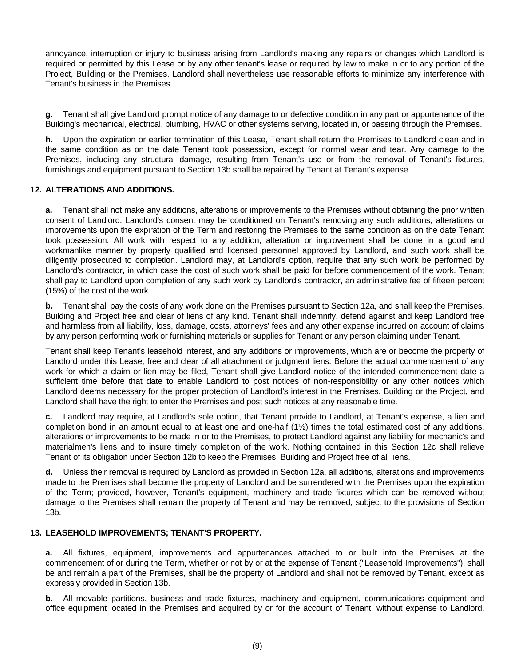annoyance, interruption or injury to business arising from Landlord's making any repairs or changes which Landlord is required or permitted by this Lease or by any other tenant's lease or required by law to make in or to any portion of the Project, Building or the Premises. Landlord shall nevertheless use reasonable efforts to minimize any interference with Tenant's business in the Premises.

 **g.** Tenant shall give Landlord prompt notice of any damage to or defective condition in any part or appurtenance of the Building's mechanical, electrical, plumbing, HVAC or other systems serving, located in, or passing through the Premises.

 **h.** Upon the expiration or earlier termination of this Lease, Tenant shall return the Premises to Landlord clean and in the same condition as on the date Tenant took possession, except for normal wear and tear. Any damage to the Premises, including any structural damage, resulting from Tenant's use or from the removal of Tenant's fixtures, furnishings and equipment pursuant to Section 13b shall be repaired by Tenant at Tenant's expense.

# **12. ALTERATIONS AND ADDITIONS.**

 **a.** Tenant shall not make any additions, alterations or improvements to the Premises without obtaining the prior written consent of Landlord. Landlord's consent may be conditioned on Tenant's removing any such additions, alterations or improvements upon the expiration of the Term and restoring the Premises to the same condition as on the date Tenant took possession. All work with respect to any addition, alteration or improvement shall be done in a good and workmanlike manner by properly qualified and licensed personnel approved by Landlord, and such work shall be diligently prosecuted to completion. Landlord may, at Landlord's option, require that any such work be performed by Landlord's contractor, in which case the cost of such work shall be paid for before commencement of the work. Tenant shall pay to Landlord upon completion of any such work by Landlord's contractor, an administrative fee of fifteen percent (15%) of the cost of the work.

 **b.** Tenant shall pay the costs of any work done on the Premises pursuant to Section 12a, and shall keep the Premises, Building and Project free and clear of liens of any kind. Tenant shall indemnify, defend against and keep Landlord free and harmless from all liability, loss, damage, costs, attorneys' fees and any other expense incurred on account of claims by any person performing work or furnishing materials or supplies for Tenant or any person claiming under Tenant.

 Tenant shall keep Tenant's leasehold interest, and any additions or improvements, which are or become the property of Landlord under this Lease, free and clear of all attachment or judgment liens. Before the actual commencement of any work for which a claim or lien may be filed, Tenant shall give Landlord notice of the intended commencement date a sufficient time before that date to enable Landlord to post notices of non-responsibility or any other notices which Landlord deems necessary for the proper protection of Landlord's interest in the Premises, Building or the Project, and Landlord shall have the right to enter the Premises and post such notices at any reasonable time.

Landlord may require, at Landlord's sole option, that Tenant provide to Landlord, at Tenant's expense, a lien and completion bond in an amount equal to at least one and one-half (1½) times the total estimated cost of any additions, alterations or improvements to be made in or to the Premises, to protect Landlord against any liability for mechanic's and materialmen's liens and to insure timely completion of the work. Nothing contained in this Section 12c shall relieve Tenant of its obligation under Section 12b to keep the Premises, Building and Project free of all liens.

 **d.** Unless their removal is required by Landlord as provided in Section 12a, all additions, alterations and improvements made to the Premises shall become the property of Landlord and be surrendered with the Premises upon the expiration of the Term; provided, however, Tenant's equipment, machinery and trade fixtures which can be removed without damage to the Premises shall remain the property of Tenant and may be removed, subject to the provisions of Section 13b.

#### **13. LEASEHOLD IMPROVEMENTS; TENANT'S PROPERTY.**

 **a.** All fixtures, equipment, improvements and appurtenances attached to or built into the Premises at the commencement of or during the Term, whether or not by or at the expense of Tenant ("Leasehold Improvements"), shall be and remain a part of the Premises, shall be the property of Landlord and shall not be removed by Tenant, except as expressly provided in Section 13b.

 **b.** All movable partitions, business and trade fixtures, machinery and equipment, communications equipment and office equipment located in the Premises and acquired by or for the account of Tenant, without expense to Landlord,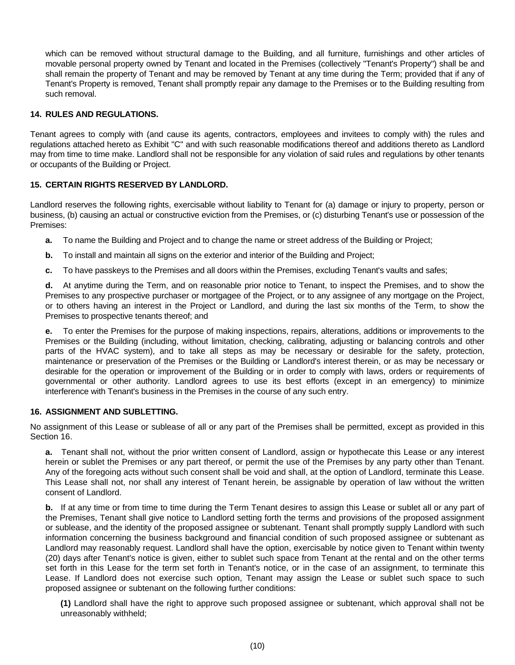which can be removed without structural damage to the Building, and all furniture, furnishings and other articles of movable personal property owned by Tenant and located in the Premises (collectively "Tenant's Property") shall be and shall remain the property of Tenant and may be removed by Tenant at any time during the Term; provided that if any of Tenant's Property is removed, Tenant shall promptly repair any damage to the Premises or to the Building resulting from such removal.

# **14. RULES AND REGULATIONS.**

Tenant agrees to comply with (and cause its agents, contractors, employees and invitees to comply with) the rules and regulations attached hereto as Exhibit "C" and with such reasonable modifications thereof and additions thereto as Landlord may from time to time make. Landlord shall not be responsible for any violation of said rules and regulations by other tenants or occupants of the Building or Project.

# **15. CERTAIN RIGHTS RESERVED BY LANDLORD.**

Landlord reserves the following rights, exercisable without liability to Tenant for (a) damage or injury to property, person or business, (b) causing an actual or constructive eviction from the Premises, or (c) disturbing Tenant's use or possession of the Premises:

- **a.** To name the Building and Project and to change the name or street address of the Building or Project;
- **b.** To install and maintain all signs on the exterior and interior of the Building and Project;
- **c.** To have passkeys to the Premises and all doors within the Premises, excluding Tenant's vaults and safes;

 **d.** At anytime during the Term, and on reasonable prior notice to Tenant, to inspect the Premises, and to show the Premises to any prospective purchaser or mortgagee of the Project, or to any assignee of any mortgage on the Project, or to others having an interest in the Project or Landlord, and during the last six months of the Term, to show the Premises to prospective tenants thereof; and

 **e.** To enter the Premises for the purpose of making inspections, repairs, alterations, additions or improvements to the Premises or the Building (including, without limitation, checking, calibrating, adjusting or balancing controls and other parts of the HVAC system), and to take all steps as may be necessary or desirable for the safety, protection, maintenance or preservation of the Premises or the Building or Landlord's interest therein, or as may be necessary or desirable for the operation or improvement of the Building or in order to comply with laws, orders or requirements of governmental or other authority. Landlord agrees to use its best efforts (except in an emergency) to minimize interference with Tenant's business in the Premises in the course of any such entry.

# **16. ASSIGNMENT AND SUBLETTING.**

No assignment of this Lease or sublease of all or any part of the Premises shall be permitted, except as provided in this Section 16.

**a.** Tenant shall not, without the prior written consent of Landlord, assign or hypothecate this Lease or any interest herein or sublet the Premises or any part thereof, or permit the use of the Premises by any party other than Tenant. Any of the foregoing acts without such consent shall be void and shall, at the option of Landlord, terminate this Lease. This Lease shall not, nor shall any interest of Tenant herein, be assignable by operation of law without the written consent of Landlord.

**b.** If at any time or from time to time during the Term Tenant desires to assign this Lease or sublet all or any part of the Premises, Tenant shall give notice to Landlord setting forth the terms and provisions of the proposed assignment or sublease, and the identity of the proposed assignee or subtenant. Tenant shall promptly supply Landlord with such information concerning the business background and financial condition of such proposed assignee or subtenant as Landlord may reasonably request. Landlord shall have the option, exercisable by notice given to Tenant within twenty (20) days after Tenant's notice is given, either to sublet such space from Tenant at the rental and on the other terms set forth in this Lease for the term set forth in Tenant's notice, or in the case of an assignment, to terminate this Lease. If Landlord does not exercise such option, Tenant may assign the Lease or sublet such space to such proposed assignee or subtenant on the following further conditions:

**(1)** Landlord shall have the right to approve such proposed assignee or subtenant, which approval shall not be unreasonably withheld;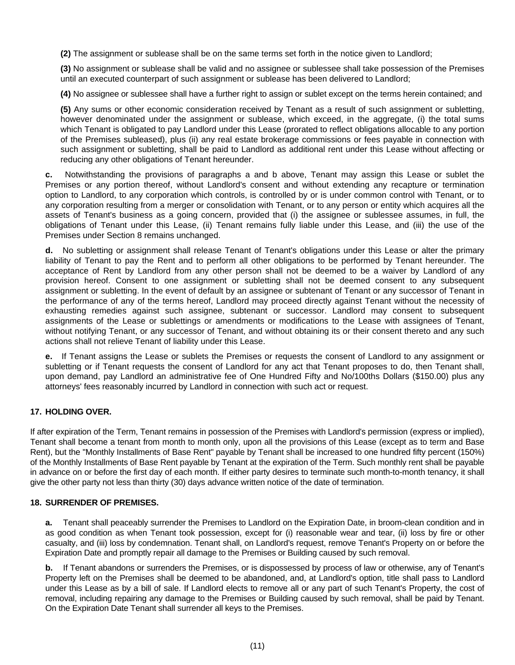**(2)** The assignment or sublease shall be on the same terms set forth in the notice given to Landlord;

**(3)** No assignment or sublease shall be valid and no assignee or sublessee shall take possession of the Premises until an executed counterpart of such assignment or sublease has been delivered to Landlord;

**(4)** No assignee or sublessee shall have a further right to assign or sublet except on the terms herein contained; and

**(5)** Any sums or other economic consideration received by Tenant as a result of such assignment or subletting, however denominated under the assignment or sublease, which exceed, in the aggregate, (i) the total sums which Tenant is obligated to pay Landlord under this Lease (prorated to reflect obligations allocable to any portion of the Premises subleased), plus (ii) any real estate brokerage commissions or fees payable in connection with such assignment or subletting, shall be paid to Landlord as additional rent under this Lease without affecting or reducing any other obligations of Tenant hereunder.

**c.** Notwithstanding the provisions of paragraphs a and b above, Tenant may assign this Lease or sublet the Premises or any portion thereof, without Landlord's consent and without extending any recapture or termination option to Landlord, to any corporation which controls, is controlled by or is under common control with Tenant, or to any corporation resulting from a merger or consolidation with Tenant, or to any person or entity which acquires all the assets of Tenant's business as a going concern, provided that (i) the assignee or sublessee assumes, in full, the obligations of Tenant under this Lease, (ii) Tenant remains fully liable under this Lease, and (iii) the use of the Premises under Section 8 remains unchanged.

**d.** No subletting or assignment shall release Tenant of Tenant's obligations under this Lease or alter the primary liability of Tenant to pay the Rent and to perform all other obligations to be performed by Tenant hereunder. The acceptance of Rent by Landlord from any other person shall not be deemed to be a waiver by Landlord of any provision hereof. Consent to one assignment or subletting shall not be deemed consent to any subsequent assignment or subletting. In the event of default by an assignee or subtenant of Tenant or any successor of Tenant in the performance of any of the terms hereof, Landlord may proceed directly against Tenant without the necessity of exhausting remedies against such assignee, subtenant or successor. Landlord may consent to subsequent assignments of the Lease or sublettings or amendments or modifications to the Lease with assignees of Tenant, without notifying Tenant, or any successor of Tenant, and without obtaining its or their consent thereto and any such actions shall not relieve Tenant of liability under this Lease.

**e.** If Tenant assigns the Lease or sublets the Premises or requests the consent of Landlord to any assignment or subletting or if Tenant requests the consent of Landlord for any act that Tenant proposes to do, then Tenant shall, upon demand, pay Landlord an administrative fee of One Hundred Fifty and No/100ths Dollars (\$150.00) plus any attorneys' fees reasonably incurred by Landlord in connection with such act or request.

#### **17. HOLDING OVER.**

If after expiration of the Term, Tenant remains in possession of the Premises with Landlord's permission (express or implied), Tenant shall become a tenant from month to month only, upon all the provisions of this Lease (except as to term and Base Rent), but the "Monthly Installments of Base Rent" payable by Tenant shall be increased to one hundred fifty percent (150%) of the Monthly Installments of Base Rent payable by Tenant at the expiration of the Term. Such monthly rent shall be payable in advance on or before the first day of each month. If either party desires to terminate such month-to-month tenancy, it shall give the other party not less than thirty (30) days advance written notice of the date of termination.

#### **18. SURRENDER OF PREMISES.**

 **a.** Tenant shall peaceably surrender the Premises to Landlord on the Expiration Date, in broom-clean condition and in as good condition as when Tenant took possession, except for (i) reasonable wear and tear, (ii) loss by fire or other casualty, and (iii) loss by condemnation. Tenant shall, on Landlord's request, remove Tenant's Property on or before the Expiration Date and promptly repair all damage to the Premises or Building caused by such removal.

 **b.** If Tenant abandons or surrenders the Premises, or is dispossessed by process of law or otherwise, any of Tenant's Property left on the Premises shall be deemed to be abandoned, and, at Landlord's option, title shall pass to Landlord under this Lease as by a bill of sale. If Landlord elects to remove all or any part of such Tenant's Property, the cost of removal, including repairing any damage to the Premises or Building caused by such removal, shall be paid by Tenant. On the Expiration Date Tenant shall surrender all keys to the Premises.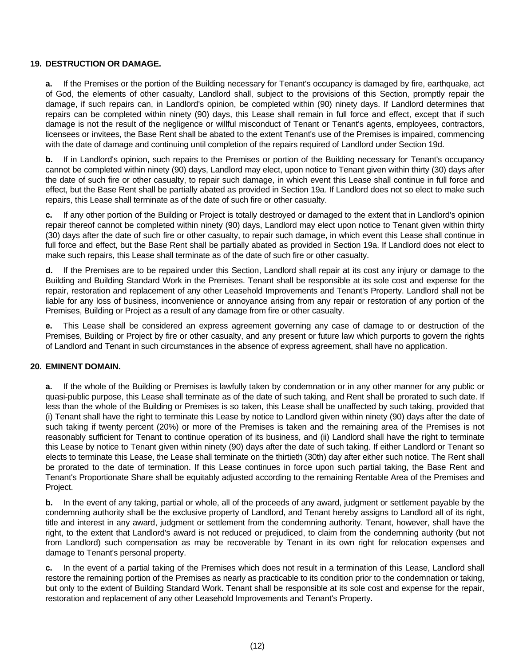## **19. DESTRUCTION OR DAMAGE.**

 **a.** If the Premises or the portion of the Building necessary for Tenant's occupancy is damaged by fire, earthquake, act of God, the elements of other casualty, Landlord shall, subject to the provisions of this Section, promptly repair the damage, if such repairs can, in Landlord's opinion, be completed within (90) ninety days. If Landlord determines that repairs can be completed within ninety (90) days, this Lease shall remain in full force and effect, except that if such damage is not the result of the negligence or willful misconduct of Tenant or Tenant's agents, employees, contractors, licensees or invitees, the Base Rent shall be abated to the extent Tenant's use of the Premises is impaired, commencing with the date of damage and continuing until completion of the repairs required of Landlord under Section 19d.

 **b.** If in Landlord's opinion, such repairs to the Premises or portion of the Building necessary for Tenant's occupancy cannot be completed within ninety (90) days, Landlord may elect, upon notice to Tenant given within thirty (30) days after the date of such fire or other casualty, to repair such damage, in which event this Lease shall continue in full force and effect, but the Base Rent shall be partially abated as provided in Section 19a. If Landlord does not so elect to make such repairs, this Lease shall terminate as of the date of such fire or other casualty.

 **c.** If any other portion of the Building or Project is totally destroyed or damaged to the extent that in Landlord's opinion repair thereof cannot be completed within ninety (90) days, Landlord may elect upon notice to Tenant given within thirty (30) days after the date of such fire or other casualty, to repair such damage, in which event this Lease shall continue in full force and effect, but the Base Rent shall be partially abated as provided in Section 19a. If Landlord does not elect to make such repairs, this Lease shall terminate as of the date of such fire or other casualty.

 **d.** If the Premises are to be repaired under this Section, Landlord shall repair at its cost any injury or damage to the Building and Building Standard Work in the Premises. Tenant shall be responsible at its sole cost and expense for the repair, restoration and replacement of any other Leasehold Improvements and Tenant's Property. Landlord shall not be liable for any loss of business, inconvenience or annoyance arising from any repair or restoration of any portion of the Premises, Building or Project as a result of any damage from fire or other casualty.

 **e.** This Lease shall be considered an express agreement governing any case of damage to or destruction of the Premises, Building or Project by fire or other casualty, and any present or future law which purports to govern the rights of Landlord and Tenant in such circumstances in the absence of express agreement, shall have no application.

## **20. EMINENT DOMAIN.**

 **a.** If the whole of the Building or Premises is lawfully taken by condemnation or in any other manner for any public or quasi-public purpose, this Lease shall terminate as of the date of such taking, and Rent shall be prorated to such date. If less than the whole of the Building or Premises is so taken, this Lease shall be unaffected by such taking, provided that (i) Tenant shall have the right to terminate this Lease by notice to Landlord given within ninety (90) days after the date of such taking if twenty percent (20%) or more of the Premises is taken and the remaining area of the Premises is not reasonably sufficient for Tenant to continue operation of its business, and (ii) Landlord shall have the right to terminate this Lease by notice to Tenant given within ninety (90) days after the date of such taking. If either Landlord or Tenant so elects to terminate this Lease, the Lease shall terminate on the thirtieth (30th) day after either such notice. The Rent shall be prorated to the date of termination. If this Lease continues in force upon such partial taking, the Base Rent and Tenant's Proportionate Share shall be equitably adjusted according to the remaining Rentable Area of the Premises and Project.

 **b.** In the event of any taking, partial or whole, all of the proceeds of any award, judgment or settlement payable by the condemning authority shall be the exclusive property of Landlord, and Tenant hereby assigns to Landlord all of its right, title and interest in any award, judgment or settlement from the condemning authority. Tenant, however, shall have the right, to the extent that Landlord's award is not reduced or prejudiced, to claim from the condemning authority (but not from Landlord) such compensation as may be recoverable by Tenant in its own right for relocation expenses and damage to Tenant's personal property.

 **c.** In the event of a partial taking of the Premises which does not result in a termination of this Lease, Landlord shall restore the remaining portion of the Premises as nearly as practicable to its condition prior to the condemnation or taking, but only to the extent of Building Standard Work. Tenant shall be responsible at its sole cost and expense for the repair, restoration and replacement of any other Leasehold Improvements and Tenant's Property.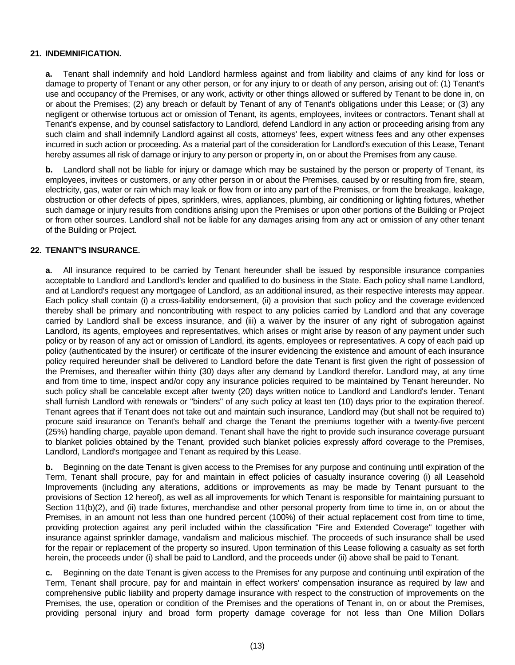## **21. INDEMNIFICATION.**

 **a.** Tenant shall indemnify and hold Landlord harmless against and from liability and claims of any kind for loss or damage to property of Tenant or any other person, or for any injury to or death of any person, arising out of: (1) Tenant's use and occupancy of the Premises, or any work, activity or other things allowed or suffered by Tenant to be done in, on or about the Premises; (2) any breach or default by Tenant of any of Tenant's obligations under this Lease; or (3) any negligent or otherwise tortuous act or omission of Tenant, its agents, employees, invitees or contractors. Tenant shall at Tenant's expense, and by counsel satisfactory to Landlord, defend Landlord in any action or proceeding arising from any such claim and shall indemnify Landlord against all costs, attorneys' fees, expert witness fees and any other expenses incurred in such action or proceeding. As a material part of the consideration for Landlord's execution of this Lease, Tenant hereby assumes all risk of damage or injury to any person or property in, on or about the Premises from any cause.

**b.** Landlord shall not be liable for injury or damage which may be sustained by the person or property of Tenant, its employees, invitees or customers, or any other person in or about the Premises, caused by or resulting from fire, steam, electricity, gas, water or rain which may leak or flow from or into any part of the Premises, or from the breakage, leakage, obstruction or other defects of pipes, sprinklers, wires, appliances, plumbing, air conditioning or lighting fixtures, whether such damage or injury results from conditions arising upon the Premises or upon other portions of the Building or Project or from other sources. Landlord shall not be liable for any damages arising from any act or omission of any other tenant of the Building or Project.

## **22. TENANT'S INSURANCE.**

 **a.** All insurance required to be carried by Tenant hereunder shall be issued by responsible insurance companies acceptable to Landlord and Landlord's lender and qualified to do business in the State. Each policy shall name Landlord, and at Landlord's request any mortgagee of Landlord, as an additional insured, as their respective interests may appear. Each policy shall contain (i) a cross-liability endorsement, (ii) a provision that such policy and the coverage evidenced thereby shall be primary and noncontributing with respect to any policies carried by Landlord and that any coverage carried by Landlord shall be excess insurance, and (iii) a waiver by the insurer of any right of subrogation against Landlord, its agents, employees and representatives, which arises or might arise by reason of any payment under such policy or by reason of any act or omission of Landlord, its agents, employees or representatives. A copy of each paid up policy (authenticated by the insurer) or certificate of the insurer evidencing the existence and amount of each insurance policy required hereunder shall be delivered to Landlord before the date Tenant is first given the right of possession of the Premises, and thereafter within thirty (30) days after any demand by Landlord therefor. Landlord may, at any time and from time to time, inspect and/or copy any insurance policies required to be maintained by Tenant hereunder. No such policy shall be cancelable except after twenty (20) days written notice to Landlord and Landlord's lender. Tenant shall furnish Landlord with renewals or "binders" of any such policy at least ten (10) days prior to the expiration thereof. Tenant agrees that if Tenant does not take out and maintain such insurance, Landlord may (but shall not be required to) procure said insurance on Tenant's behalf and charge the Tenant the premiums together with a twenty-five percent (25%) handling charge, payable upon demand. Tenant shall have the right to provide such insurance coverage pursuant to blanket policies obtained by the Tenant, provided such blanket policies expressly afford coverage to the Premises, Landlord, Landlord's mortgagee and Tenant as required by this Lease.

**b.** Beginning on the date Tenant is given access to the Premises for any purpose and continuing until expiration of the Term, Tenant shall procure, pay for and maintain in effect policies of casualty insurance covering (i) all Leasehold Improvements (including any alterations, additions or improvements as may be made by Tenant pursuant to the provisions of Section 12 hereof), as well as all improvements for which Tenant is responsible for maintaining pursuant to Section 11(b)(2), and (ii) trade fixtures, merchandise and other personal property from time to time in, on or about the Premises, in an amount not less than one hundred percent (100%) of their actual replacement cost from time to time, providing protection against any peril included within the classification "Fire and Extended Coverage" together with insurance against sprinkler damage, vandalism and malicious mischief. The proceeds of such insurance shall be used for the repair or replacement of the property so insured. Upon termination of this Lease following a casualty as set forth herein, the proceeds under (i) shall be paid to Landlord, and the proceeds under (ii) above shall be paid to Tenant.

 **c.** Beginning on the date Tenant is given access to the Premises for any purpose and continuing until expiration of the Term, Tenant shall procure, pay for and maintain in effect workers' compensation insurance as required by law and comprehensive public liability and property damage insurance with respect to the construction of improvements on the Premises, the use, operation or condition of the Premises and the operations of Tenant in, on or about the Premises, providing personal injury and broad form property damage coverage for not less than One Million Dollars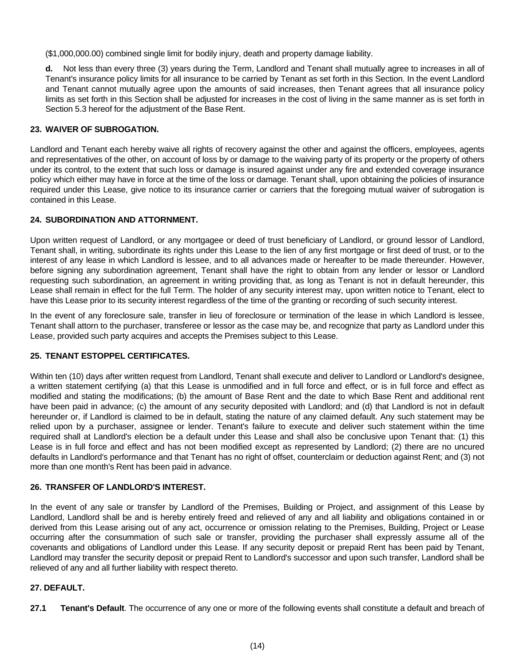(\$1,000,000.00) combined single limit for bodily injury, death and property damage liability.

 **d.** Not less than every three (3) years during the Term, Landlord and Tenant shall mutually agree to increases in all of Tenant's insurance policy limits for all insurance to be carried by Tenant as set forth in this Section. In the event Landlord and Tenant cannot mutually agree upon the amounts of said increases, then Tenant agrees that all insurance policy limits as set forth in this Section shall be adjusted for increases in the cost of living in the same manner as is set forth in Section 5.3 hereof for the adjustment of the Base Rent.

# **23. WAIVER OF SUBROGATION.**

Landlord and Tenant each hereby waive all rights of recovery against the other and against the officers, employees, agents and representatives of the other, on account of loss by or damage to the waiving party of its property or the property of others under its control, to the extent that such loss or damage is insured against under any fire and extended coverage insurance policy which either may have in force at the time of the loss or damage. Tenant shall, upon obtaining the policies of insurance required under this Lease, give notice to its insurance carrier or carriers that the foregoing mutual waiver of subrogation is contained in this Lease.

## **24. SUBORDINATION AND ATTORNMENT.**

Upon written request of Landlord, or any mortgagee or deed of trust beneficiary of Landlord, or ground lessor of Landlord, Tenant shall, in writing, subordinate its rights under this Lease to the lien of any first mortgage or first deed of trust, or to the interest of any lease in which Landlord is lessee, and to all advances made or hereafter to be made thereunder. However, before signing any subordination agreement, Tenant shall have the right to obtain from any lender or lessor or Landlord requesting such subordination, an agreement in writing providing that, as long as Tenant is not in default hereunder, this Lease shall remain in effect for the full Term. The holder of any security interest may, upon written notice to Tenant, elect to have this Lease prior to its security interest regardless of the time of the granting or recording of such security interest.

In the event of any foreclosure sale, transfer in lieu of foreclosure or termination of the lease in which Landlord is lessee, Tenant shall attorn to the purchaser, transferee or lessor as the case may be, and recognize that party as Landlord under this Lease, provided such party acquires and accepts the Premises subject to this Lease.

## **25. TENANT ESTOPPEL CERTIFICATES.**

Within ten (10) days after written request from Landlord, Tenant shall execute and deliver to Landlord or Landlord's designee, a written statement certifying (a) that this Lease is unmodified and in full force and effect, or is in full force and effect as modified and stating the modifications; (b) the amount of Base Rent and the date to which Base Rent and additional rent have been paid in advance; (c) the amount of any security deposited with Landlord; and (d) that Landlord is not in default hereunder or, if Landlord is claimed to be in default, stating the nature of any claimed default. Any such statement may be relied upon by a purchaser, assignee or lender. Tenant's failure to execute and deliver such statement within the time required shall at Landlord's election be a default under this Lease and shall also be conclusive upon Tenant that: (1) this Lease is in full force and effect and has not been modified except as represented by Landlord; (2) there are no uncured defaults in Landlord's performance and that Tenant has no right of offset, counterclaim or deduction against Rent; and (3) not more than one month's Rent has been paid in advance.

# **26. TRANSFER OF LANDLORD'S INTEREST.**

In the event of any sale or transfer by Landlord of the Premises, Building or Project, and assignment of this Lease by Landlord, Landlord shall be and is hereby entirely freed and relieved of any and all liability and obligations contained in or derived from this Lease arising out of any act, occurrence or omission relating to the Premises, Building, Project or Lease occurring after the consummation of such sale or transfer, providing the purchaser shall expressly assume all of the covenants and obligations of Landlord under this Lease. If any security deposit or prepaid Rent has been paid by Tenant, Landlord may transfer the security deposit or prepaid Rent to Landlord's successor and upon such transfer, Landlord shall be relieved of any and all further liability with respect thereto.

#### **27. DEFAULT.**

**27.1 Tenant's Default**. The occurrence of any one or more of the following events shall constitute a default and breach of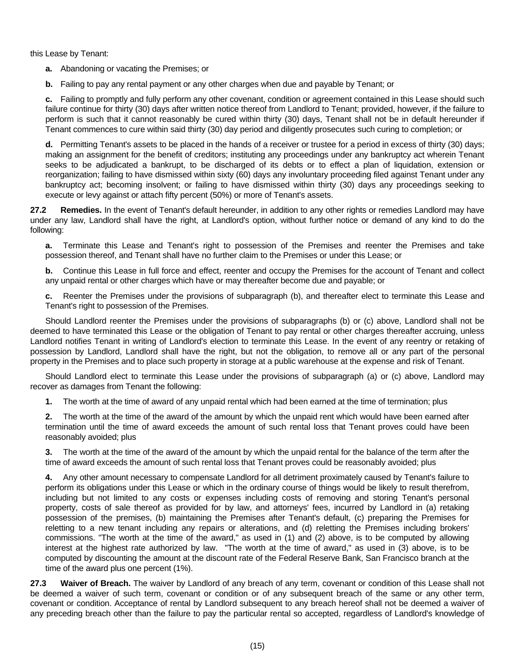this Lease by Tenant:

- **a.** Abandoning or vacating the Premises; or
- **b.** Failing to pay any rental payment or any other charges when due and payable by Tenant; or

 **c.** Failing to promptly and fully perform any other covenant, condition or agreement contained in this Lease should such failure continue for thirty (30) days after written notice thereof from Landlord to Tenant; provided, however, if the failure to perform is such that it cannot reasonably be cured within thirty (30) days, Tenant shall not be in default hereunder if Tenant commences to cure within said thirty (30) day period and diligently prosecutes such curing to completion; or

 **d.** Permitting Tenant's assets to be placed in the hands of a receiver or trustee for a period in excess of thirty (30) days; making an assignment for the benefit of creditors; instituting any proceedings under any bankruptcy act wherein Tenant seeks to be adjudicated a bankrupt, to be discharged of its debts or to effect a plan of liquidation, extension or reorganization; failing to have dismissed within sixty (60) days any involuntary proceeding filed against Tenant under any bankruptcy act; becoming insolvent; or failing to have dismissed within thirty (30) days any proceedings seeking to execute or levy against or attach fifty percent (50%) or more of Tenant's assets.

**27.2 Remedies.** In the event of Tenant's default hereunder, in addition to any other rights or remedies Landlord may have under any law, Landlord shall have the right, at Landlord's option, without further notice or demand of any kind to do the following:

**a.** Terminate this Lease and Tenant's right to possession of the Premises and reenter the Premises and take possession thereof, and Tenant shall have no further claim to the Premises or under this Lease; or

**b.** Continue this Lease in full force and effect, reenter and occupy the Premises for the account of Tenant and collect any unpaid rental or other charges which have or may thereafter become due and payable; or

**c.** Reenter the Premises under the provisions of subparagraph (b), and thereafter elect to terminate this Lease and Tenant's right to possession of the Premises.

 Should Landlord reenter the Premises under the provisions of subparagraphs (b) or (c) above, Landlord shall not be deemed to have terminated this Lease or the obligation of Tenant to pay rental or other charges thereafter accruing, unless Landlord notifies Tenant in writing of Landlord's election to terminate this Lease. In the event of any reentry or retaking of possession by Landlord, Landlord shall have the right, but not the obligation, to remove all or any part of the personal property in the Premises and to place such property in storage at a public warehouse at the expense and risk of Tenant.

 Should Landlord elect to terminate this Lease under the provisions of subparagraph (a) or (c) above, Landlord may recover as damages from Tenant the following:

 **1.** The worth at the time of award of any unpaid rental which had been earned at the time of termination; plus

 **2.** The worth at the time of the award of the amount by which the unpaid rent which would have been earned after termination until the time of award exceeds the amount of such rental loss that Tenant proves could have been reasonably avoided; plus

 **3.** The worth at the time of the award of the amount by which the unpaid rental for the balance of the term after the time of award exceeds the amount of such rental loss that Tenant proves could be reasonably avoided; plus

 **4.** Any other amount necessary to compensate Landlord for all detriment proximately caused by Tenant's failure to perform its obligations under this Lease or which in the ordinary course of things would be likely to result therefrom, including but not limited to any costs or expenses including costs of removing and storing Tenant's personal property, costs of sale thereof as provided for by law, and attorneys' fees, incurred by Landlord in (a) retaking possession of the premises, (b) maintaining the Premises after Tenant's default, (c) preparing the Premises for reletting to a new tenant including any repairs or alterations, and (d) reletting the Premises including brokers' commissions. "The worth at the time of the award," as used in (1) and (2) above, is to be computed by allowing interest at the highest rate authorized by law. "The worth at the time of award," as used in (3) above, is to be computed by discounting the amount at the discount rate of the Federal Reserve Bank, San Francisco branch at the time of the award plus one percent (1%).

**27.3 Waiver of Breach.** The waiver by Landlord of any breach of any term, covenant or condition of this Lease shall not be deemed a waiver of such term, covenant or condition or of any subsequent breach of the same or any other term, covenant or condition. Acceptance of rental by Landlord subsequent to any breach hereof shall not be deemed a waiver of any preceding breach other than the failure to pay the particular rental so accepted, regardless of Landlord's knowledge of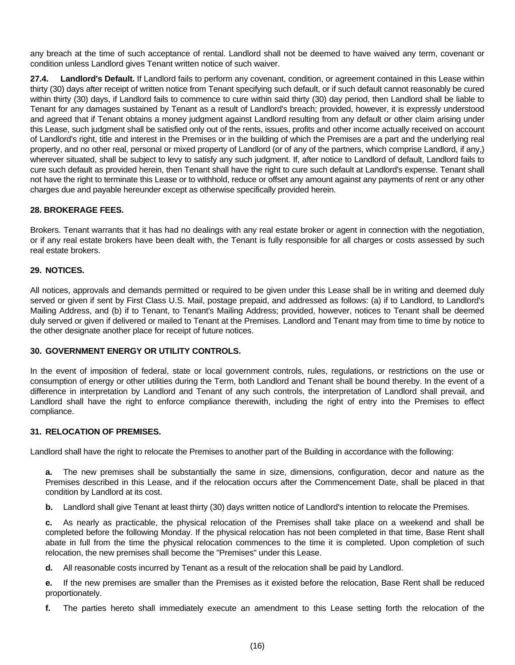any breach at the time of such acceptance of rental. Landlord shall not be deemed to have waived any term, covenant or condition unless Landlord gives Tenant written notice of such waiver.

**27.4. Landlord's Default.** If Landlord fails to perform any covenant, condition, or agreement contained in this Lease within thirty (30) days after receipt of written notice from Tenant specifying such default, or if such default cannot reasonably be cured within thirty (30) days, if Landlord fails to commence to cure within said thirty (30) day period, then Landlord shall be liable to Tenant for any damages sustained by Tenant as a result of Landlord's breach; provided, however, it is expressly understood and agreed that if Tenant obtains a money judgment against Landlord resulting from any default or other claim arising under this Lease, such judgment shall be satisfied only out of the rents, issues, profits and other income actually received on account of Landlord's right, title and interest in the Premises or in the building of which the Premises are a part and the underlying real property, and no other real, personal or mixed property of Landlord (or of any of the partners, which comprise Landlord, if any,) wherever situated, shall be subject to levy to satisfy any such judgment. If, after notice to Landlord of default, Landlord fails to cure such default as provided herein, then Tenant shall have the right to cure such default at Landlord's expense. Tenant shall not have the right to terminate this Lease or to withhold, reduce or offset any amount against any payments of rent or any other charges due and payable hereunder except as otherwise specifically provided herein.

# **28. BROKERAGE FEES.**

Brokers. Tenant warrants that it has had no dealings with any real estate broker or agent in connection with the negotiation, or if any real estate brokers have been dealt with, the Tenant is fully responsible for all charges or costs assessed by such real estate brokers.

#### **29. NOTICES.**

All notices, approvals and demands permitted or required to be given under this Lease shall be in writing and deemed duly served or given if sent by First Class U.S. Mail, postage prepaid, and addressed as follows: (a) if to Landlord, to Landlord's Mailing Address, and (b) if to Tenant, to Tenant's Mailing Address; provided, however, notices to Tenant shall be deemed duly served or given if delivered or mailed to Tenant at the Premises. Landlord and Tenant may from time to time by notice to the other designate another place for receipt of future notices.

#### **30. GOVERNMENT ENERGY OR UTILITY CONTROLS.**

In the event of imposition of federal, state or local government controls, rules, regulations, or restrictions on the use or consumption of energy or other utilities during the Term, both Landlord and Tenant shall be bound thereby. In the event of a difference in interpretation by Landlord and Tenant of any such controls, the interpretation of Landlord shall prevail, and Landlord shall have the right to enforce compliance therewith, including the right of entry into the Premises to effect compliance.

#### **31. RELOCATION OF PREMISES.**

Landlord shall have the right to relocate the Premises to another part of the Building in accordance with the following:

 **a.** The new premises shall be substantially the same in size, dimensions, configuration, decor and nature as the Premises described in this Lease, and if the relocation occurs after the Commencement Date, shall be placed in that condition by Landlord at its cost.

**b.** Landlord shall give Tenant at least thirty (30) days written notice of Landlord's intention to relocate the Premises.

 **c.** As nearly as practicable, the physical relocation of the Premises shall take place on a weekend and shall be completed before the following Monday. If the physical relocation has not been completed in that time, Base Rent shall abate in full from the time the physical relocation commences to the time it is completed. Upon completion of such relocation, the new premises shall become the "Premises" under this Lease.

 **d.** All reasonable costs incurred by Tenant as a result of the relocation shall be paid by Landlord.

 **e.** If the new premises are smaller than the Premises as it existed before the relocation, Base Rent shall be reduced proportionately.

 **f.** The parties hereto shall immediately execute an amendment to this Lease setting forth the relocation of the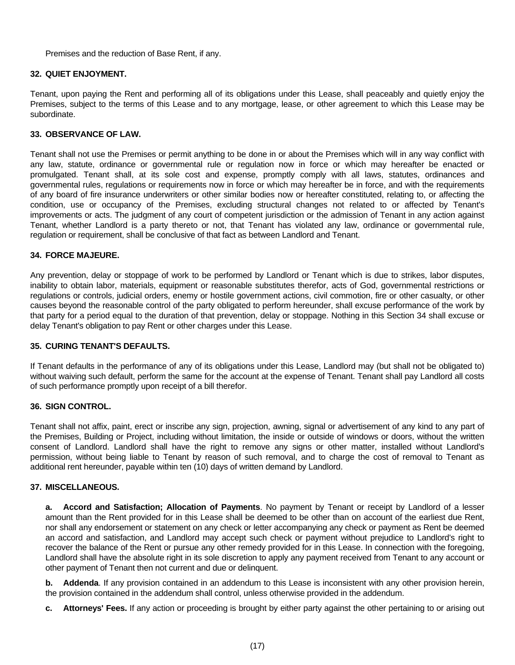Premises and the reduction of Base Rent, if any.

# **32. QUIET ENJOYMENT.**

Tenant, upon paying the Rent and performing all of its obligations under this Lease, shall peaceably and quietly enjoy the Premises, subject to the terms of this Lease and to any mortgage, lease, or other agreement to which this Lease may be subordinate.

# **33. OBSERVANCE OF LAW.**

Tenant shall not use the Premises or permit anything to be done in or about the Premises which will in any way conflict with any law, statute, ordinance or governmental rule or regulation now in force or which may hereafter be enacted or promulgated. Tenant shall, at its sole cost and expense, promptly comply with all laws, statutes, ordinances and governmental rules, regulations or requirements now in force or which may hereafter be in force, and with the requirements of any board of fire insurance underwriters or other similar bodies now or hereafter constituted, relating to, or affecting the condition, use or occupancy of the Premises, excluding structural changes not related to or affected by Tenant's improvements or acts. The judgment of any court of competent jurisdiction or the admission of Tenant in any action against Tenant, whether Landlord is a party thereto or not, that Tenant has violated any law, ordinance or governmental rule, regulation or requirement, shall be conclusive of that fact as between Landlord and Tenant.

#### **34. FORCE MAJEURE.**

Any prevention, delay or stoppage of work to be performed by Landlord or Tenant which is due to strikes, labor disputes, inability to obtain labor, materials, equipment or reasonable substitutes therefor, acts of God, governmental restrictions or regulations or controls, judicial orders, enemy or hostile government actions, civil commotion, fire or other casualty, or other causes beyond the reasonable control of the party obligated to perform hereunder, shall excuse performance of the work by that party for a period equal to the duration of that prevention, delay or stoppage. Nothing in this Section 34 shall excuse or delay Tenant's obligation to pay Rent or other charges under this Lease.

## **35. CURING TENANT'S DEFAULTS.**

If Tenant defaults in the performance of any of its obligations under this Lease, Landlord may (but shall not be obligated to) without waiving such default, perform the same for the account at the expense of Tenant. Tenant shall pay Landlord all costs of such performance promptly upon receipt of a bill therefor.

# **36. SIGN CONTROL.**

Tenant shall not affix, paint, erect or inscribe any sign, projection, awning, signal or advertisement of any kind to any part of the Premises, Building or Project, including without limitation, the inside or outside of windows or doors, without the written consent of Landlord. Landlord shall have the right to remove any signs or other matter, installed without Landlord's permission, without being liable to Tenant by reason of such removal, and to charge the cost of removal to Tenant as additional rent hereunder, payable within ten (10) days of written demand by Landlord.

# **37. MISCELLANEOUS.**

 **a. Accord and Satisfaction; Allocation of Payments**. No payment by Tenant or receipt by Landlord of a lesser amount than the Rent provided for in this Lease shall be deemed to be other than on account of the earliest due Rent, nor shall any endorsement or statement on any check or letter accompanying any check or payment as Rent be deemed an accord and satisfaction, and Landlord may accept such check or payment without prejudice to Landlord's right to recover the balance of the Rent or pursue any other remedy provided for in this Lease. In connection with the foregoing, Landlord shall have the absolute right in its sole discretion to apply any payment received from Tenant to any account or other payment of Tenant then not current and due or delinquent.

**b.** Addenda. If any provision contained in an addendum to this Lease is inconsistent with any other provision herein, the provision contained in the addendum shall control, unless otherwise provided in the addendum.

 **c. Attorneys' Fees.** If any action or proceeding is brought by either party against the other pertaining to or arising out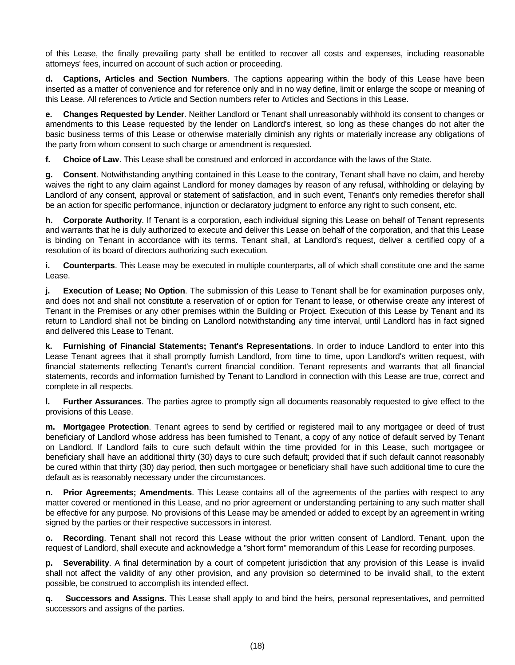of this Lease, the finally prevailing party shall be entitled to recover all costs and expenses, including reasonable attorneys' fees, incurred on account of such action or proceeding.

 **d. Captions, Articles and Section Numbers**. The captions appearing within the body of this Lease have been inserted as a matter of convenience and for reference only and in no way define, limit or enlarge the scope or meaning of this Lease. All references to Article and Section numbers refer to Articles and Sections in this Lease.

 **e. Changes Requested by Lender**. Neither Landlord or Tenant shall unreasonably withhold its consent to changes or amendments to this Lease requested by the lender on Landlord's interest, so long as these changes do not alter the basic business terms of this Lease or otherwise materially diminish any rights or materially increase any obligations of the party from whom consent to such charge or amendment is requested.

 **f. Choice of Law**. This Lease shall be construed and enforced in accordance with the laws of the State.

 **g. Consent**. Notwithstanding anything contained in this Lease to the contrary, Tenant shall have no claim, and hereby waives the right to any claim against Landlord for money damages by reason of any refusal, withholding or delaying by Landlord of any consent, approval or statement of satisfaction, and in such event, Tenant's only remedies therefor shall be an action for specific performance, injunction or declaratory judgment to enforce any right to such consent, etc.

 **h. Corporate Authority**. If Tenant is a corporation, each individual signing this Lease on behalf of Tenant represents and warrants that he is duly authorized to execute and deliver this Lease on behalf of the corporation, and that this Lease is binding on Tenant in accordance with its terms. Tenant shall, at Landlord's request, deliver a certified copy of a resolution of its board of directors authorizing such execution.

 **i. Counterparts**. This Lease may be executed in multiple counterparts, all of which shall constitute one and the same Lease.

 **j. Execution of Lease; No Option**. The submission of this Lease to Tenant shall be for examination purposes only, and does not and shall not constitute a reservation of or option for Tenant to lease, or otherwise create any interest of Tenant in the Premises or any other premises within the Building or Project. Execution of this Lease by Tenant and its return to Landlord shall not be binding on Landlord notwithstanding any time interval, until Landlord has in fact signed and delivered this Lease to Tenant.

 **k. Furnishing of Financial Statements; Tenant's Representations**. In order to induce Landlord to enter into this Lease Tenant agrees that it shall promptly furnish Landlord, from time to time, upon Landlord's written request, with financial statements reflecting Tenant's current financial condition. Tenant represents and warrants that all financial statements, records and information furnished by Tenant to Landlord in connection with this Lease are true, correct and complete in all respects.

 **l. Further Assurances**. The parties agree to promptly sign all documents reasonably requested to give effect to the provisions of this Lease.

 **m. Mortgagee Protection**. Tenant agrees to send by certified or registered mail to any mortgagee or deed of trust beneficiary of Landlord whose address has been furnished to Tenant, a copy of any notice of default served by Tenant on Landlord. If Landlord fails to cure such default within the time provided for in this Lease, such mortgagee or beneficiary shall have an additional thirty (30) days to cure such default; provided that if such default cannot reasonably be cured within that thirty (30) day period, then such mortgagee or beneficiary shall have such additional time to cure the default as is reasonably necessary under the circumstances.

 **n. Prior Agreements; Amendments**. This Lease contains all of the agreements of the parties with respect to any matter covered or mentioned in this Lease, and no prior agreement or understanding pertaining to any such matter shall be effective for any purpose. No provisions of this Lease may be amended or added to except by an agreement in writing signed by the parties or their respective successors in interest.

 **o. Recording**. Tenant shall not record this Lease without the prior written consent of Landlord. Tenant, upon the request of Landlord, shall execute and acknowledge a "short form" memorandum of this Lease for recording purposes.

 **p. Severability**. A final determination by a court of competent jurisdiction that any provision of this Lease is invalid shall not affect the validity of any other provision, and any provision so determined to be invalid shall, to the extent possible, be construed to accomplish its intended effect.

 **q. Successors and Assigns**. This Lease shall apply to and bind the heirs, personal representatives, and permitted successors and assigns of the parties.